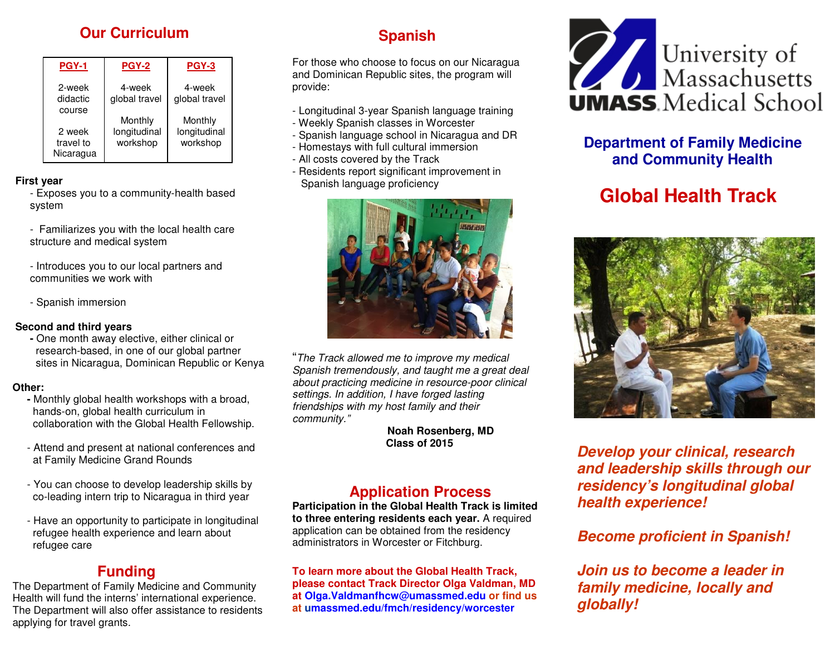# **Our Curriculum**

| <b>PGY-1</b>                     | <b>PGY-2</b>                        | PGY-3                               |
|----------------------------------|-------------------------------------|-------------------------------------|
| 2-week<br>didactic<br>course     | 4-week<br>global travel             | 4-week<br>global travel             |
| 2 week<br>travel to<br>Nicaragua | Monthly<br>longitudinal<br>workshop | Monthly<br>longitudinal<br>workshop |

#### **First year**

- - Exposes you to a community-health based system
	- Familiarizes you with the local health care structure and medical system
	- Introduces you to our local partners and communities we work with
	- Spanish immersion

### **Second and third years**

  **-** One month away elective, either clinical or research-based, in one of our global partner sites in Nicaragua, Dominican Republic or Kenya

### **Other:**

- Monthly global health workshops with a broad, hands-on, global health curriculum in collaboration with the Global Health Fellowship.
	- Attend and present at national conferences and at Family Medicine Grand Rounds
	- You can choose to develop leadership skills by co-leading intern trip to Nicaragua in third year
	- Have an opportunity to participate in longitudinal refugee health experience and learn about refugee care

# **Funding**

 The Department of Family Medicine and Community Health will fund the interns' international experience. The Department will also offer assistance to residents applying for travel grants.

# **Spanish**

For those who choose to focus on our Nicaragua and Dominican Republic sites, the program will provide:

- Longitudinal 3-year Spanish language training
- Weekly Spanish classes in Worcester
- Spanish language school in Nicaragua and DR
- Homestays with full cultural immersion
- All costs covered by the Track
- Residents report significant improvement in Spanish language proficiency



"The Track allowed me to improve my medical Spanish tremendously, and taught me a great deal about practicing medicine in resource-poor clinicalsettings. In addition, I have forged lasting friendships with my host family and their community."

**Noah Rosenberg, MD Class of 2015** 

# **Application Process**

 **Participation in the Global Health Track is limited to three entering residents each year.** A required application can be obtained from the residency administrators in Worcester or Fitchburg.

**To learn more about the Global Health Track, please contact Track Director Olga Valdman, MD at Olga.Valdmanfhcw@umassmed.edu or find us at umassmed.edu/fmch/residency/worcester** 



# **Department of Family Medicine and Community Health**

# **Global Health Track**



**Develop your clinical, research and leadership skills through our residency's longitudinal global health experience!** 

# **Become proficient in Spanish!**

 **Join us to become a leader in family medicine, locally and globally!**